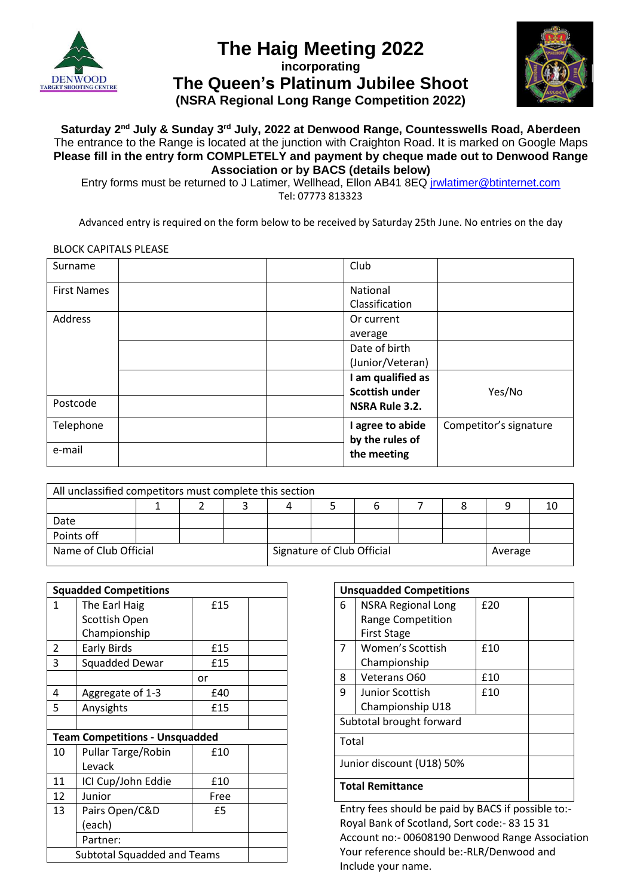

# **The Haig Meeting 2022**

**incorporating**

**The Queen's Platinum Jubilee Shoot (NSRA Regional Long Range Competition 2022)**



#### **Saturday 2 nd July & Sunday 3 rd July, 2022 at Denwood Range, Countesswells Road, Aberdeen** The entrance to the Range is located at the junction with Craighton Road. It is marked on Google Maps **Please fill in the entry form COMPLETELY and payment by cheque made out to Denwood Range Association or by BACS (details below)**

Entry forms must be returned to J Latimer, Wellhead, Ellon AB41 8EQ [jrwlatimer@btinternet.com](mailto:jrwlatimer@btinternet.com) Tel: 07773 813323

Advanced entry is required on the form below to be received by Saturday 25th June. No entries on the day

#### BLOCK CAPITALS PLEASE

| Surname            |  | Club              |                        |
|--------------------|--|-------------------|------------------------|
| <b>First Names</b> |  | National          |                        |
|                    |  | Classification    |                        |
| Address            |  | Or current        |                        |
|                    |  | average           |                        |
|                    |  | Date of birth     |                        |
|                    |  | (Junior/Veteran)  |                        |
|                    |  | I am qualified as |                        |
|                    |  | Scottish under    | Yes/No                 |
| Postcode           |  | NSRA Rule 3.2.    |                        |
| Telephone          |  | I agree to abide  | Competitor's signature |
|                    |  | by the rules of   |                        |
| e-mail             |  | the meeting       |                        |

| All unclassified competitors must complete this section |  |  |                            |  |  |         |  |  |    |
|---------------------------------------------------------|--|--|----------------------------|--|--|---------|--|--|----|
|                                                         |  |  |                            |  |  |         |  |  | 10 |
| Date                                                    |  |  |                            |  |  |         |  |  |    |
| Points off                                              |  |  |                            |  |  |         |  |  |    |
| Name of Club Official                                   |  |  | Signature of Club Official |  |  | Average |  |  |    |

| <b>Squadded Competitions</b>          |                       |      |  |  |
|---------------------------------------|-----------------------|------|--|--|
| 1                                     | The Earl Haig         | £15  |  |  |
|                                       | Scottish Open         |      |  |  |
|                                       | Championship          |      |  |  |
| 2                                     | <b>Early Birds</b>    | £15  |  |  |
| 3                                     | <b>Squadded Dewar</b> | £15  |  |  |
|                                       |                       | or   |  |  |
| 4                                     | Aggregate of 1-3      | £40  |  |  |
| 5                                     | Anysights             | £15  |  |  |
|                                       |                       |      |  |  |
| <b>Team Competitions - Unsquadded</b> |                       |      |  |  |
| 10                                    | Pullar Targe/Robin    | £10  |  |  |
|                                       | Levack                |      |  |  |
| 11                                    | ICI Cup/John Eddie    | £10  |  |  |
| 12                                    | Junior                | Free |  |  |
| 13                                    | Pairs Open/C&D        | £5   |  |  |
|                                       |                       |      |  |  |
| Partner:                              |                       |      |  |  |
| <b>Subtotal Squadded and Teams</b>    |                       |      |  |  |

|                           | <b>Unsquadded Competitions</b> |     |  |  |  |
|---------------------------|--------------------------------|-----|--|--|--|
| 6                         | <b>NSRA Regional Long</b>      | £20 |  |  |  |
|                           | Range Competition              |     |  |  |  |
|                           | <b>First Stage</b>             |     |  |  |  |
| 7                         | Women's Scottish               | £10 |  |  |  |
|                           | Championship                   |     |  |  |  |
| 8                         | Veterans O60                   | £10 |  |  |  |
| 9                         | Junior Scottish                | £10 |  |  |  |
|                           | Championship U18               |     |  |  |  |
| Subtotal brought forward  |                                |     |  |  |  |
| Total                     |                                |     |  |  |  |
| Junior discount (U18) 50% |                                |     |  |  |  |
| <b>Total Remittance</b>   |                                |     |  |  |  |

Entry fees should be paid by BACS if possible to:- Royal Bank of Scotland, Sort code:- 83 15 31 Account no:- 00608190 Denwood Range Association Your reference should be:-RLR/Denwood and Include your name.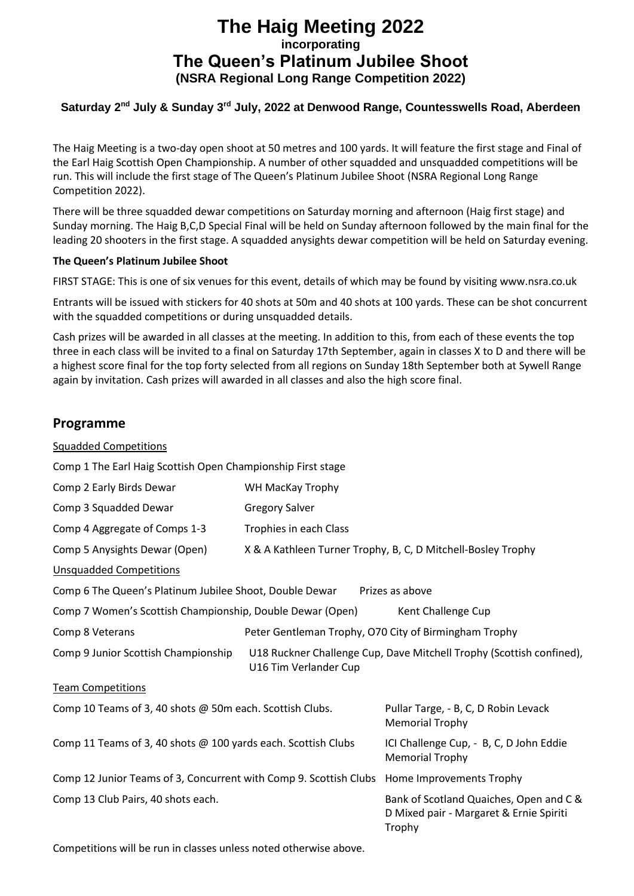# **The Haig Meeting 2022 incorporating The Queen's Platinum Jubilee Shoot (NSRA Regional Long Range Competition 2022)**

### **Saturday 2nd July & Sunday 3rd July, 2022 at Denwood Range, Countesswells Road, Aberdeen**

The Haig Meeting is a two-day open shoot at 50 metres and 100 yards. It will feature the first stage and Final of the Earl Haig Scottish Open Championship. A number of other squadded and unsquadded competitions will be run. This will include the first stage of The Queen's Platinum Jubilee Shoot (NSRA Regional Long Range Competition 2022).

There will be three squadded dewar competitions on Saturday morning and afternoon (Haig first stage) and Sunday morning. The Haig B,C,D Special Final will be held on Sunday afternoon followed by the main final for the leading 20 shooters in the first stage. A squadded anysights dewar competition will be held on Saturday evening.

#### **The Queen's Platinum Jubilee Shoot**

FIRST STAGE: This is one of six venues for this event, details of which may be found by visiting www.nsra.co.uk

Entrants will be issued with stickers for 40 shots at 50m and 40 shots at 100 yards. These can be shot concurrent with the squadded competitions or during unsquadded details.

Cash prizes will be awarded in all classes at the meeting. In addition to this, from each of these events the top three in each class will be invited to a final on Saturday 17th September, again in classes X to D and there will be a highest score final for the top forty selected from all regions on Sunday 18th September both at Sywell Range again by invitation. Cash prizes will awarded in all classes and also the high score final.

## **Programme**

| <b>Squadded Competitions</b>                                                               |                                                                   |                                                                                              |  |  |  |
|--------------------------------------------------------------------------------------------|-------------------------------------------------------------------|----------------------------------------------------------------------------------------------|--|--|--|
| Comp 1 The Earl Haig Scottish Open Championship First stage                                |                                                                   |                                                                                              |  |  |  |
| Comp 2 Early Birds Dewar                                                                   |                                                                   |                                                                                              |  |  |  |
| Comp 3 Squadded Dewar                                                                      | <b>Gregory Salver</b>                                             |                                                                                              |  |  |  |
| Comp 4 Aggregate of Comps 1-3                                                              | Trophies in each Class                                            |                                                                                              |  |  |  |
| Comp 5 Anysights Dewar (Open)                                                              |                                                                   | X & A Kathleen Turner Trophy, B, C, D Mitchell-Bosley Trophy                                 |  |  |  |
| <b>Unsquadded Competitions</b>                                                             |                                                                   |                                                                                              |  |  |  |
| Comp 6 The Queen's Platinum Jubilee Shoot, Double Dewar                                    |                                                                   | Prizes as above                                                                              |  |  |  |
| Comp 7 Women's Scottish Championship, Double Dewar (Open)                                  |                                                                   | Kent Challenge Cup                                                                           |  |  |  |
| Comp 8 Veterans                                                                            | Peter Gentleman Trophy, O70 City of Birmingham Trophy             |                                                                                              |  |  |  |
| Comp 9 Junior Scottish Championship<br>U16 Tim Verlander Cup                               |                                                                   | U18 Ruckner Challenge Cup, Dave Mitchell Trophy (Scottish confined),                         |  |  |  |
| <b>Team Competitions</b>                                                                   |                                                                   |                                                                                              |  |  |  |
| Comp 10 Teams of 3, 40 shots @ 50m each. Scottish Clubs.                                   | Pullar Targe, - B, C, D Robin Levack<br><b>Memorial Trophy</b>    |                                                                                              |  |  |  |
| Comp 11 Teams of 3, 40 shots @ 100 yards each. Scottish Clubs                              | ICI Challenge Cup, - B, C, D John Eddie<br><b>Memorial Trophy</b> |                                                                                              |  |  |  |
| Comp 12 Junior Teams of 3, Concurrent with Comp 9. Scottish Clubs Home Improvements Trophy |                                                                   |                                                                                              |  |  |  |
| Comp 13 Club Pairs, 40 shots each.                                                         |                                                                   | Bank of Scotland Quaiches, Open and C &<br>D Mixed pair - Margaret & Ernie Spiriti<br>Trophy |  |  |  |

Competitions will be run in classes unless noted otherwise above.